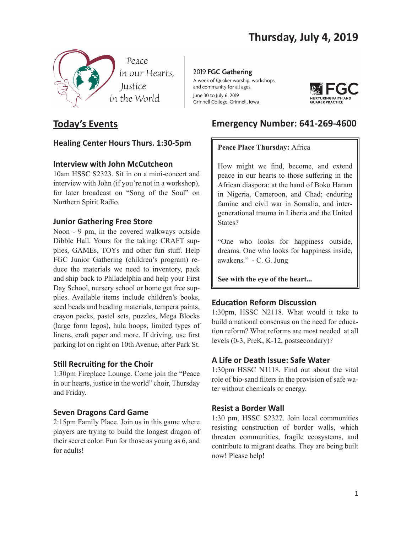

# **Today's Events**

## **Healing Center Hours Thurs. 1:30-5pm**

## **Interview with John McCutcheon**

10am HSSC S2323. Sit in on a mini-concert and interview with John (if you're not in a workshop), for later broadcast on "Song of the Soul" on Northern Spirit Radio.

## **Junior Gathering Free Store**

Noon - 9 pm, in the covered walkways outside Dibble Hall. Yours for the taking: CRAFT supplies, GAMEs, TOYs and other fun stuff. Help FGC Junior Gathering (children's program) reduce the materials we need to inventory, pack and ship back to Philadelphia and help your First Day School, nursery school or home get free supplies. Available items include children's books, seed beads and beading materials, tempera paints, crayon packs, pastel sets, puzzles, Mega Blocks (large form legos), hula hoops, limited types of linens, craft paper and more. If driving, use first parking lot on right on 10th Avenue, after Park St.

## **Still Recruiting for the Choir**

1:30pm Fireplace Lounge. Come join the "Peace in our hearts, justice in the world" choir, Thursday and Friday.

## **Seven Dragons Card Game**

2:15pm Family Place. Join us in this game where players are trying to build the longest dragon of their secret color. Fun for those as young as 6, and for adults!

2019 FGC Gathering A week of Quaker worship, workshops, and community for all ages. June 30 to July 6, 2019 Grinnell College, Grinnell, Iowa



# **Emergency Number: 641-269-4600**

## **Peace Place Thursday:** Africa

How might we find, become, and extend peace in our hearts to those suffering in the African diaspora: at the hand of Boko Haram in Nigeria, Cameroon, and Chad; enduring famine and civil war in Somalia, and intergenerational trauma in Liberia and the United States?

"One who looks for happiness outside, dreams. One who looks for happiness inside, awakens." - C. G. Jung

**See with the eye of the heart...**

## **Education Reform Discussion**

1:30pm, HSSC N2118. What would it take to build a national consensus on the need for education reform? What reforms are most needed at all levels (0-3, PreK, K-12, postsecondary)?

## **A Life or Death Issue: Safe Water**

1:30pm HSSC N1118. Find out about the vital role of bio-sand filters in the provision of safe water without chemicals or energy.

## **Resist a Border Wall**

1:30 pm, HSSC S2327. Join local communities resisting construction of border walls, which threaten communities, fragile ecosystems, and contribute to migrant deaths. They are being built now! Please help!